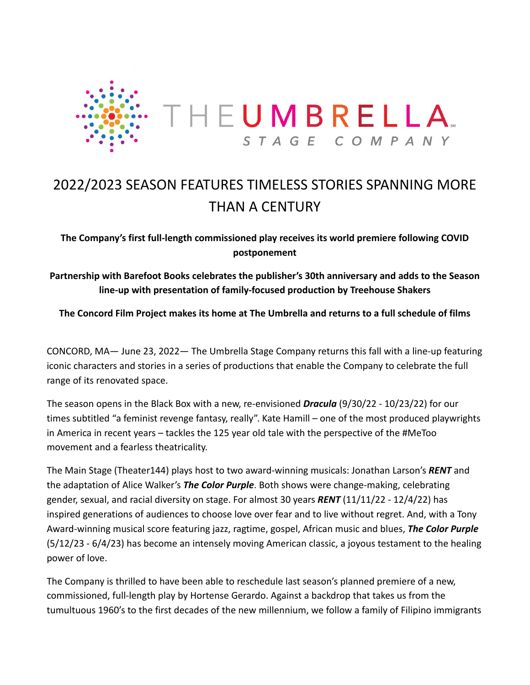

# 2022/2023 SEASON FEATURES TIMELESS STORIES SPANNING MORE THAN A CENTURY

**The Company's first full-length commissioned play receives its world premiere following COVID postponement**

**Partnership with Barefoot Books celebrates the publisher's 30th anniversary and adds to the Season line-up with presentation of family-focused production by Treehouse Shakers**

**The Concord Film Project makes its home at The Umbrella and returns to a full schedule of films**

CONCORD, MA— June 23, 2022— The Umbrella Stage Company returns this fall with a line-up featuring iconic characters and stories in a series of productions that enable the Company to celebrate the full range of its renovated space.

The season opens in the Black Box with a new, re-envisioned *Dracula* (9/30/22 - 10/23/22) for our times subtitled "a feminist revenge fantasy, really". Kate Hamill – one of the most produced playwrights in America in recent years – tackles the 125 year old tale with the perspective of the #MeToo movement and a fearless theatricality.

The Main Stage (Theater144) plays host to two award-winning musicals: Jonathan Larson's *RENT* and the adaptation of Alice Walker's *The Color Purple*. Both shows were change-making, celebrating gender, sexual, and racial diversity on stage. For almost 30 years *RENT* (11/11/22 - 12/4/22) has inspired generations of audiences to choose love over fear and to live without regret. And, with a Tony Award-winning musical score featuring jazz, ragtime, gospel, African music and blues, *The Color Purple* (5/12/23 - 6/4/23) has become an intensely moving American classic, a joyous testament to the healing power of love.

The Company is thrilled to have been able to reschedule last season's planned premiere of a new, commissioned, full-length play by Hortense Gerardo. Against a backdrop that takes us from the tumultuous 1960's to the first decades of the new millennium, we follow a family of Filipino immigrants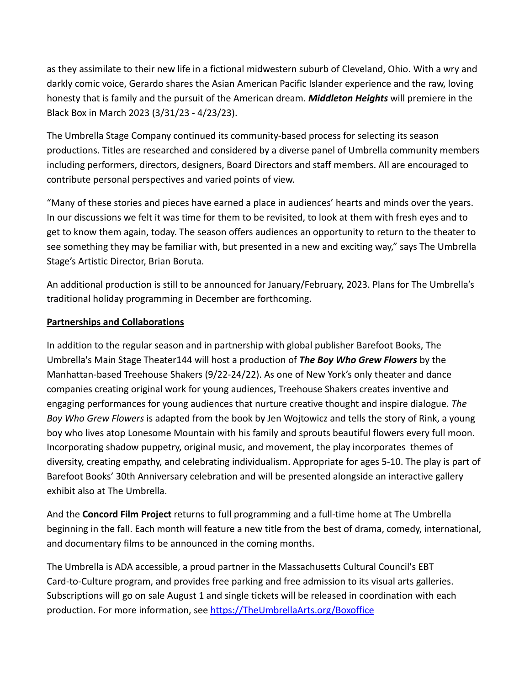as they assimilate to their new life in a fictional midwestern suburb of Cleveland, Ohio. With a wry and darkly comic voice, Gerardo shares the Asian American Pacific Islander experience and the raw, loving honesty that is family and the pursuit of the American dream. *Middleton Heights* will premiere in the Black Box in March 2023 (3/31/23 - 4/23/23).

The Umbrella Stage Company continued its community-based process for selecting its season productions. Titles are researched and considered by a diverse panel of Umbrella community members including performers, directors, designers, Board Directors and staff members. All are encouraged to contribute personal perspectives and varied points of view.

"Many of these stories and pieces have earned a place in audiences' hearts and minds over the years. In our discussions we felt it was time for them to be revisited, to look at them with fresh eyes and to get to know them again, today. The season offers audiences an opportunity to return to the theater to see something they may be familiar with, but presented in a new and exciting way," says The Umbrella Stage's Artistic Director, Brian Boruta.

An additional production is still to be announced for January/February, 2023. Plans for The Umbrella's traditional holiday programming in December are forthcoming.

# **Partnerships and Collaborations**

In addition to the regular season and in partnership with global publisher Barefoot Books, The Umbrella's Main Stage Theater144 will host a production of *The Boy Who Grew Flowers* by the Manhattan-based Treehouse Shakers (9/22-24/22). As one of New York's only theater and dance companies creating original work for young audiences, Treehouse Shakers creates inventive and engaging performances for young audiences that nurture creative thought and inspire dialogue. *The Boy Who Grew Flowers* is adapted from the book by Jen Wojtowicz and tells the story of Rink, a young boy who lives atop Lonesome Mountain with his family and sprouts beautiful flowers every full moon. Incorporating shadow puppetry, original music, and movement, the play incorporates themes of diversity, creating empathy, and celebrating individualism. Appropriate for ages 5-10. The play is part of Barefoot Books' 30th Anniversary celebration and will be presented alongside an interactive gallery exhibit also at The Umbrella.

And the **Concord Film Project** returns to full programming and a full-time home at The Umbrella beginning in the fall. Each month will feature a new title from the best of drama, comedy, international, and documentary films to be announced in the coming months.

The Umbrella is ADA accessible, a proud partner in the Massachusetts Cultural Council's EBT Card-to-Culture program, and provides free parking and free admission to its visual arts galleries. Subscriptions will go on sale August 1 and single tickets will be released in coordination with each production. For more information, see [https://TheUmbrellaArts.org/Boxoffice](https://theumbrellaarts.org/Boxoffice)